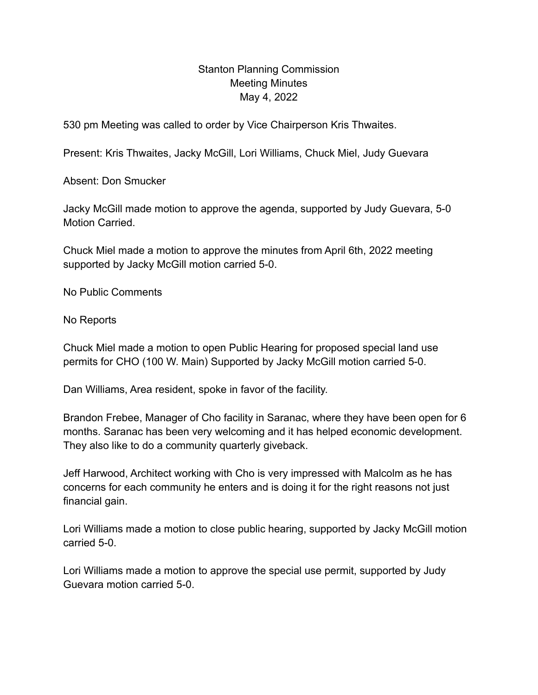## Stanton Planning Commission Meeting Minutes May 4, 2022

530 pm Meeting was called to order by Vice Chairperson Kris Thwaites.

Present: Kris Thwaites, Jacky McGill, Lori Williams, Chuck Miel, Judy Guevara

Absent: Don Smucker

Jacky McGill made motion to approve the agenda, supported by Judy Guevara, 5-0 Motion Carried.

Chuck Miel made a motion to approve the minutes from April 6th, 2022 meeting supported by Jacky McGill motion carried 5-0.

No Public Comments

No Reports

Chuck Miel made a motion to open Public Hearing for proposed special land use permits for CHO (100 W. Main) Supported by Jacky McGill motion carried 5-0.

Dan Williams, Area resident, spoke in favor of the facility.

Brandon Frebee, Manager of Cho facility in Saranac, where they have been open for 6 months. Saranac has been very welcoming and it has helped economic development. They also like to do a community quarterly giveback.

Jeff Harwood, Architect working with Cho is very impressed with Malcolm as he has concerns for each community he enters and is doing it for the right reasons not just financial gain.

Lori Williams made a motion to close public hearing, supported by Jacky McGill motion carried 5-0.

Lori Williams made a motion to approve the special use permit, supported by Judy Guevara motion carried 5-0.